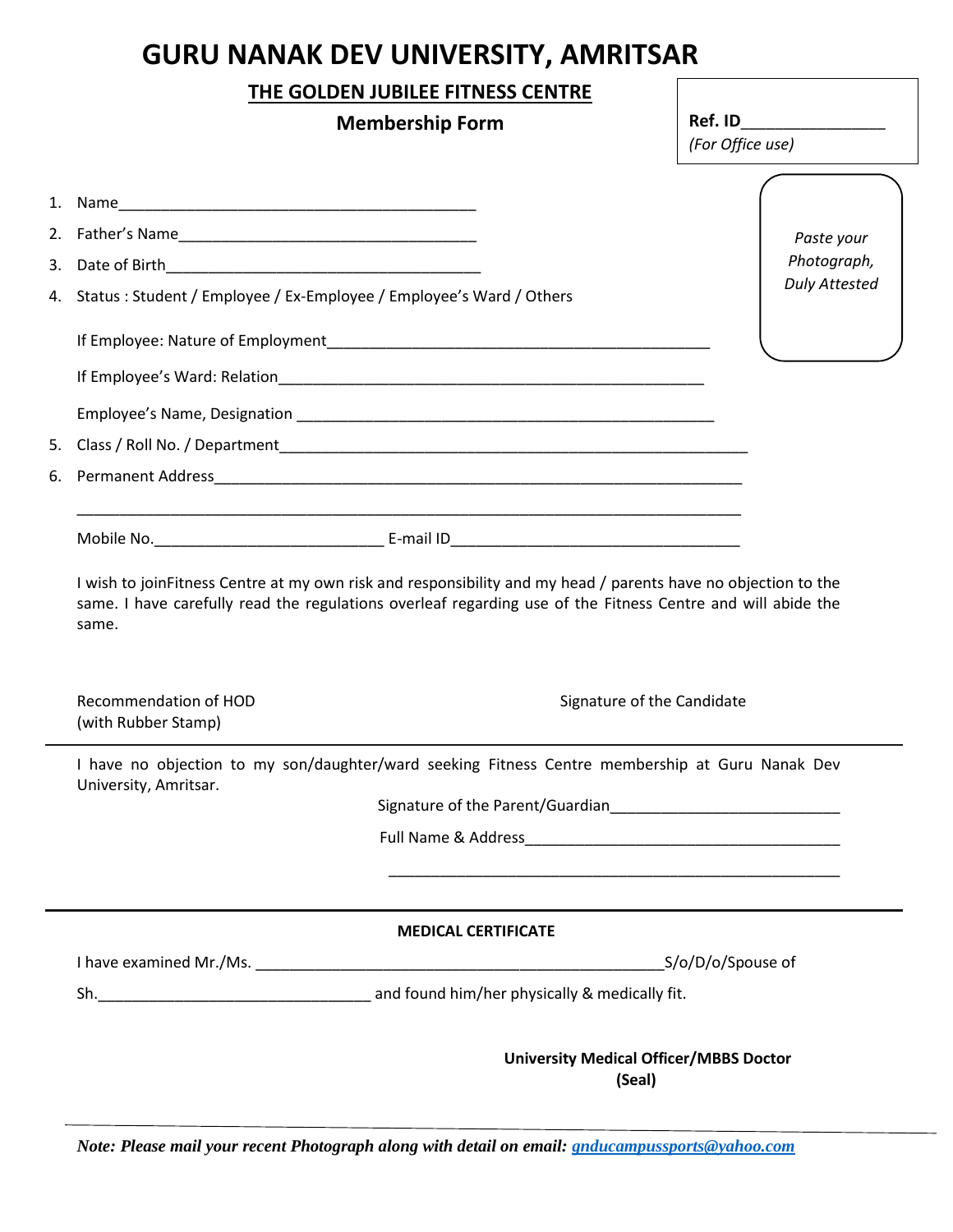## **GURU NANAK DEV UNIVERSITY, AMRITSAR**

## **THE GOLDEN JUBILEE FITNESS CENTRE**

|  |                                                                        | <b>Membership Form</b>                                                                                                                                                                                                       | Ref. ID<br>(For Office use) |
|--|------------------------------------------------------------------------|------------------------------------------------------------------------------------------------------------------------------------------------------------------------------------------------------------------------------|-----------------------------|
|  |                                                                        |                                                                                                                                                                                                                              |                             |
|  |                                                                        |                                                                                                                                                                                                                              | Paste your                  |
|  |                                                                        |                                                                                                                                                                                                                              | Photograph,                 |
|  | 4. Status: Student / Employee / Ex-Employee / Employee's Ward / Others |                                                                                                                                                                                                                              | <b>Duly Attested</b>        |
|  |                                                                        |                                                                                                                                                                                                                              |                             |
|  |                                                                        |                                                                                                                                                                                                                              |                             |
|  |                                                                        |                                                                                                                                                                                                                              |                             |
|  |                                                                        |                                                                                                                                                                                                                              |                             |
|  |                                                                        |                                                                                                                                                                                                                              |                             |
|  |                                                                        |                                                                                                                                                                                                                              |                             |
|  | same.                                                                  | I wish to joinFitness Centre at my own risk and responsibility and my head / parents have no objection to the<br>same. I have carefully read the regulations overleaf regarding use of the Fitness Centre and will abide the |                             |
|  | <b>Recommendation of HOD</b><br>(with Rubber Stamp)                    | Signature of the Candidate                                                                                                                                                                                                   |                             |
|  | University, Amritsar.                                                  | I have no objection to my son/daughter/ward seeking Fitness Centre membership at Guru Nanak Dev                                                                                                                              |                             |
|  |                                                                        |                                                                                                                                                                                                                              |                             |
|  |                                                                        |                                                                                                                                                                                                                              |                             |
|  |                                                                        |                                                                                                                                                                                                                              |                             |
|  |                                                                        | <b>MEDICAL CERTIFICATE</b>                                                                                                                                                                                                   |                             |
|  |                                                                        | S/o/D/o/Spouse of                                                                                                                                                                                                            |                             |
|  |                                                                        |                                                                                                                                                                                                                              |                             |
|  |                                                                        | <b>University Medical Officer/MBBS Doctor</b><br>(Seal)                                                                                                                                                                      |                             |

*Note: Please mail your recent Photograph along with detail on email: [gnducampussports@yahoo.com](mailto:gnducampussports@yahoo.com)*